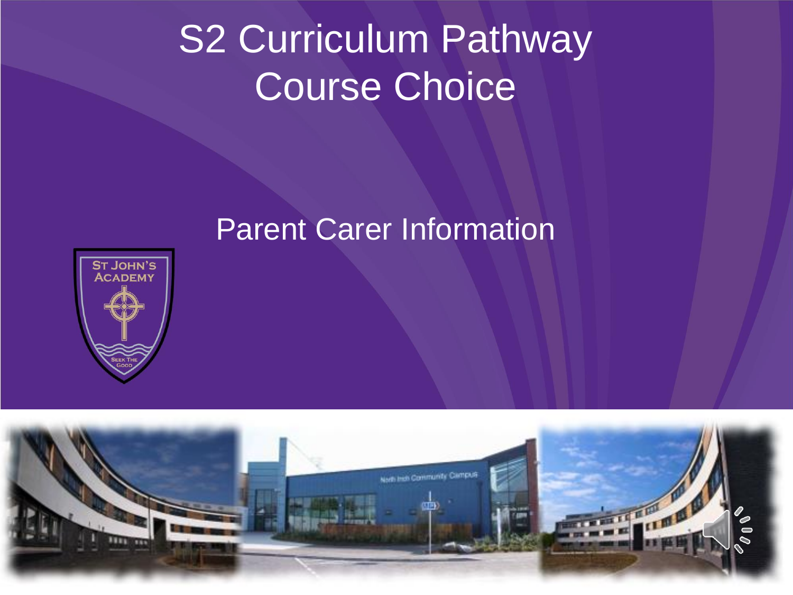# S2 Curriculum Pathway Course Choice

## Parent Carer Information



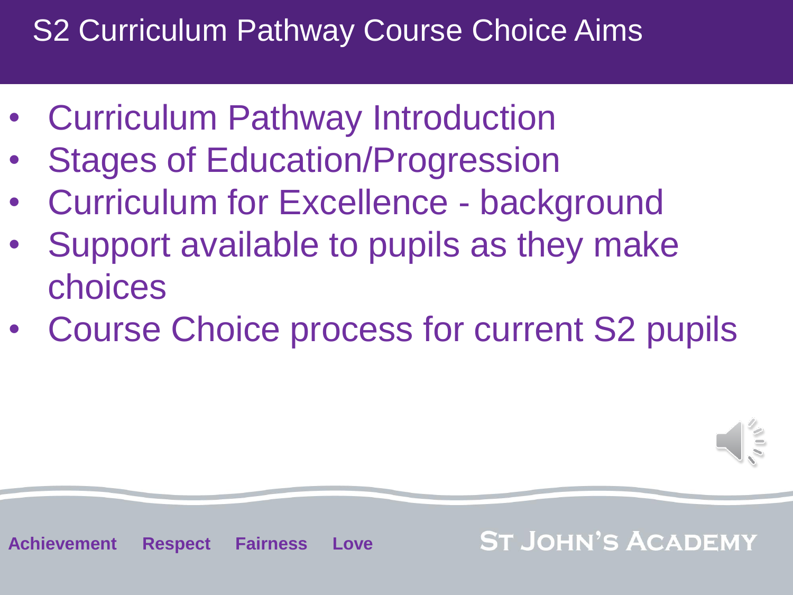## S2 Curriculum Pathway Course Choice Aims

- Curriculum Pathway Introduction
- **Stages of Education/Progression**
- Curriculum for Excellence background
- Support available to pupils as they make choices
- Course Choice process for current S2 pupils



**Achievement Respect Fairness Love**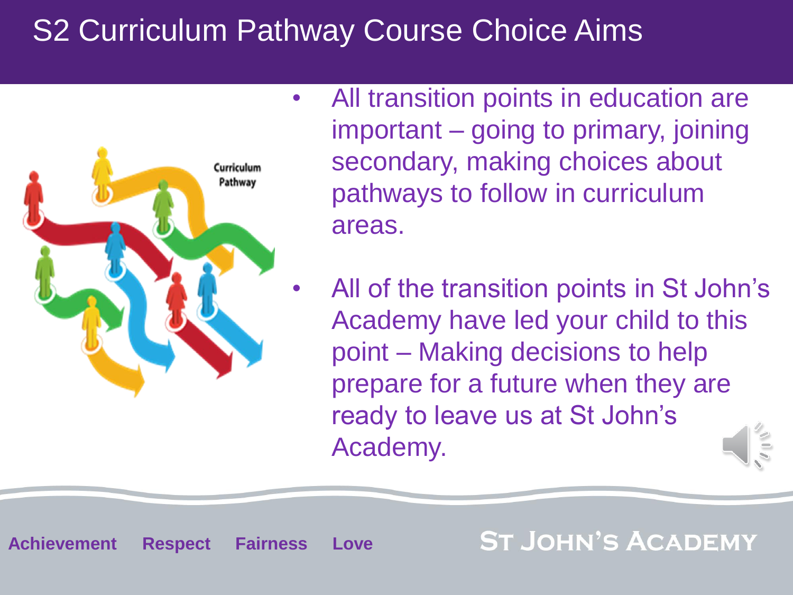## S2 Curriculum Pathway Course Choice Aims



- All transition points in education are important – going to primary, joining secondary, making choices about pathways to follow in curriculum areas.
- All of the transition points in St John's Academy have led your child to this point – Making decisions to help prepare for a future when they are ready to leave us at St John's Academy.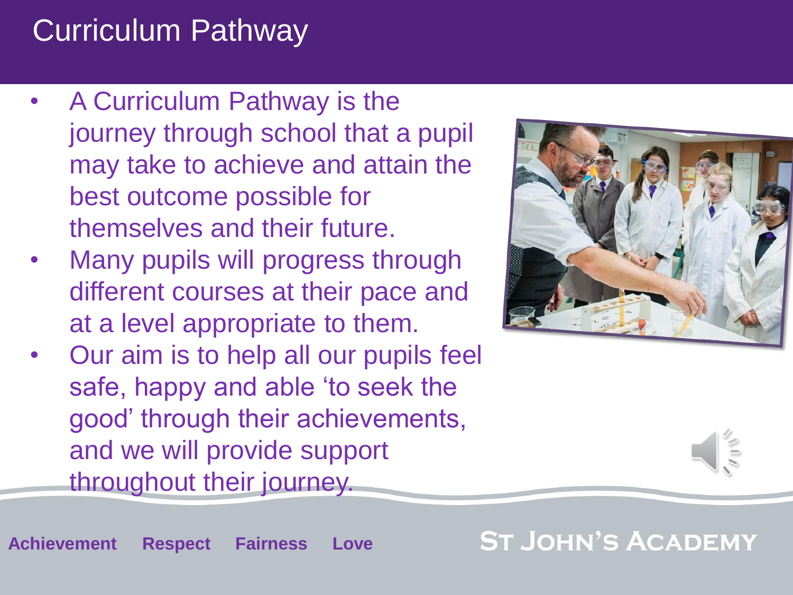# Curriculum Pathway

- A Curriculum Pathway is the journey through school that a pupil may take to achieve and attain the best outcome possible for themselves and their future.
- Many pupils will progress through different courses at their pace and at a level appropriate to them.
- Our aim is to help all our pupils feel safe, happy and able 'to seek the good' through their achievements, and we will provide support throughout their journey.



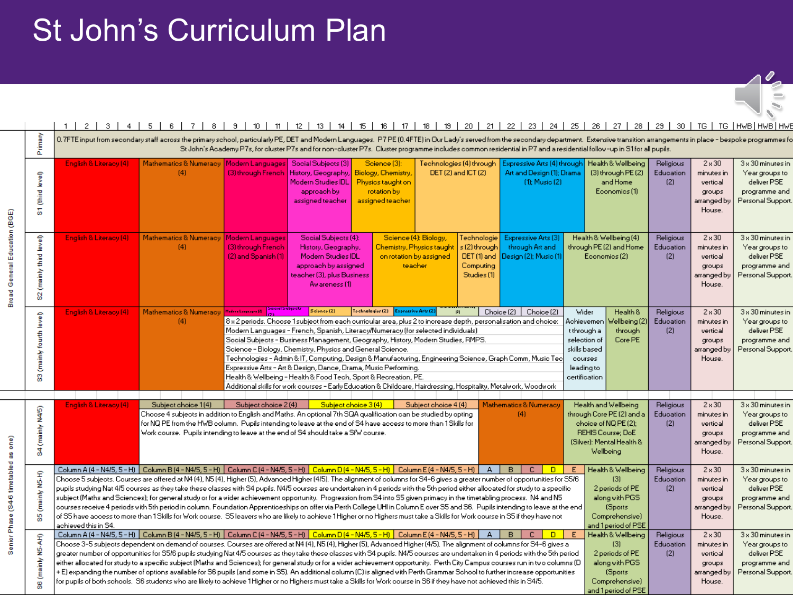## St John's Curriculum Plan

| $\mathbf{r}$<br>יי |  |
|--------------------|--|

|                                                                                                                                                                                                                                                                                                                                                                                                                                                                                                                                                                                                                                                                                                                                                                                                                                                                                                                                                                                                                                                                                                                                                               |                                     | $1-1$                  | 2   3   4   5   6   7   8   9   10   11   12   13   14   15   16   17   18   19   20   21   22   23   24   25   26   27   28   29   30   TG   TG   HWB HWB HWB                                                                                                                                                                                                                                                                                                                                                                                                                                                                                                                                                                                                                                                                                                                                                                                                                                                                                                    |                                                                                                                                                                                                                                                                                                                                                                                                                                                                                                                                                                                                                                                                                                                                |                                                                                                                                          |                                                                                             |                                                                                                                     |                                                                 |                                                                                 |                                                                                                              |                                                                                                                     |                                                                            |                                                                                                 |                                                                                                |
|---------------------------------------------------------------------------------------------------------------------------------------------------------------------------------------------------------------------------------------------------------------------------------------------------------------------------------------------------------------------------------------------------------------------------------------------------------------------------------------------------------------------------------------------------------------------------------------------------------------------------------------------------------------------------------------------------------------------------------------------------------------------------------------------------------------------------------------------------------------------------------------------------------------------------------------------------------------------------------------------------------------------------------------------------------------------------------------------------------------------------------------------------------------|-------------------------------------|------------------------|-------------------------------------------------------------------------------------------------------------------------------------------------------------------------------------------------------------------------------------------------------------------------------------------------------------------------------------------------------------------------------------------------------------------------------------------------------------------------------------------------------------------------------------------------------------------------------------------------------------------------------------------------------------------------------------------------------------------------------------------------------------------------------------------------------------------------------------------------------------------------------------------------------------------------------------------------------------------------------------------------------------------------------------------------------------------|--------------------------------------------------------------------------------------------------------------------------------------------------------------------------------------------------------------------------------------------------------------------------------------------------------------------------------------------------------------------------------------------------------------------------------------------------------------------------------------------------------------------------------------------------------------------------------------------------------------------------------------------------------------------------------------------------------------------------------|------------------------------------------------------------------------------------------------------------------------------------------|---------------------------------------------------------------------------------------------|---------------------------------------------------------------------------------------------------------------------|-----------------------------------------------------------------|---------------------------------------------------------------------------------|--------------------------------------------------------------------------------------------------------------|---------------------------------------------------------------------------------------------------------------------|----------------------------------------------------------------------------|-------------------------------------------------------------------------------------------------|------------------------------------------------------------------------------------------------|
|                                                                                                                                                                                                                                                                                                                                                                                                                                                                                                                                                                                                                                                                                                                                                                                                                                                                                                                                                                                                                                                                                                                                                               | Primary                             |                        | 0.7FTE input from secondary staff across the primary school, particularly PE, DET and Modern Languages. P7 PE (0.4FTE) in Our Lady's served from the secondary department. Extensive transition arrangements in place - bespok<br>St John's Academy P7s, for cluster P7s and for non-cluster P7s. Cluster programme includes common residential in P7 and a residential follow-up in S1 for all pupils.                                                                                                                                                                                                                                                                                                                                                                                                                                                                                                                                                                                                                                                           |                                                                                                                                                                                                                                                                                                                                                                                                                                                                                                                                                                                                                                                                                                                                |                                                                                                                                          |                                                                                             |                                                                                                                     |                                                                 |                                                                                 |                                                                                                              |                                                                                                                     |                                                                            |                                                                                                 |                                                                                                |
|                                                                                                                                                                                                                                                                                                                                                                                                                                                                                                                                                                                                                                                                                                                                                                                                                                                                                                                                                                                                                                                                                                                                                               | $_{\text{level}}$<br>S1 (third      | English & Literacy (4) | Mathematics & Numeracy   Modern Languages<br>(4)                                                                                                                                                                                                                                                                                                                                                                                                                                                                                                                                                                                                                                                                                                                                                                                                                                                                                                                                                                                                                  | (3) through French                                                                                                                                                                                                                                                                                                                                                                                                                                                                                                                                                                                                                                                                                                             | Social Subjects (3)<br>History, Geography,<br>Modern Studies IDL<br>approach by<br>assigned teacher                                      | Science (3):<br>Biology, Chemistry,<br>Physics taught on<br>rotation by<br>assigned teacher |                                                                                                                     | Technologies (4) through :<br>DET (2) and ICT (2)               | Expressive Arts (4) through<br>Art and Design (1); Drama<br>$(1)$ ; Music $(2)$ |                                                                                                              | Health & Wellbeing<br>(3) through PE (2)<br>and Home<br>Economics (1)                                               | Religious<br>Education<br>(2)                                              | $2*30$<br>minutes in<br>vertical<br>groups<br>arranged by<br>House.                             | $3\times 30$ minutes in<br>Year groups to<br>deliver PSE<br>programme and<br>Personal Support. |
| Broad General Education (BGE)                                                                                                                                                                                                                                                                                                                                                                                                                                                                                                                                                                                                                                                                                                                                                                                                                                                                                                                                                                                                                                                                                                                                 | level)<br>(mainly third<br>ဂ္တ      | English & Literacy (4) | Mathematics & Numeracy<br>(4)                                                                                                                                                                                                                                                                                                                                                                                                                                                                                                                                                                                                                                                                                                                                                                                                                                                                                                                                                                                                                                     | Modern Languages<br>(3) through French<br>(2) and Spanish (1)                                                                                                                                                                                                                                                                                                                                                                                                                                                                                                                                                                                                                                                                  | Social Subjects (4):<br>History, Geography,<br>Modern Studies IDL<br>approach by assigned<br>teacher (3), plus Business<br>Awareness (1) |                                                                                             | Science (4): Biology,<br>Chemistry, Physios taught<br>on rotation by assigned<br>teacher                            | Technologie<br>s (2) through<br><b>Computing</b><br>Studies (1) | Expressive Arts (3)<br>through Art and<br>DET (1) and Design (2); Music (1)     |                                                                                                              | Health & Wellbeing (4)<br>through PE (2) and Home.<br>Economics (2)                                                 | Religious<br>Education<br>(2)                                              | $2 \times 30$<br>minutes in<br>vertical<br>groups<br>arranged by<br>House.                      | $3\times 30$ minutes in<br>Year groups to<br>deliver PSE<br>programme and<br>Personal Support. |
|                                                                                                                                                                                                                                                                                                                                                                                                                                                                                                                                                                                                                                                                                                                                                                                                                                                                                                                                                                                                                                                                                                                                                               | $[$ e $\vee$ e<br>S3 (mainly fourth | English & Literacy (4) | Mathematics & Numeracy Hithertown RI Spec<br>(4)                                                                                                                                                                                                                                                                                                                                                                                                                                                                                                                                                                                                                                                                                                                                                                                                                                                                                                                                                                                                                  | 8 x 2 periods. Choose 1 subject from each curricular area, plus 2 to increase depth, personalisation and choice:<br>Modern Languages – French, Spanish, Literacy/Numeracy (for selected individuals).<br>Social Subjects - Business Management, Geography, History, Modern Studies, RMPS.<br>Science - Biology, Chemistry, Physics and General Science.<br>[echnologies - Admin & IT, Computing, Design & Manufacturing, Engineering Science, Graph Comm, Music Tec<br>Expressive Arts - Art & Design, Dance, Drama, Music Performing.<br>Health & Wellbeing - Health & Food Tech, Sport & Recreation, PE.<br>Additional skills for work courses - Early Education & Childcare, Hairdressing, Hospitality, Metalwork, Woodwork | S <sub>c</sub> ionce(2)                                                                                                                  | Tochnologier (2) Expressive Arts (2)                                                        |                                                                                                                     | z                                                               | Choice (2)<br>Choice (2)                                                        | Wider<br>Achievemen<br>t through a<br>selection of<br>skills based<br>courses<br>leading to<br>certification | Health &<br>/ellbeing (2)<br>through<br>Core PE                                                                     | Religious<br>Education<br>(2)                                              | $2 \times 30$<br>minutes in<br>vertical<br>groups<br>arranged by<br>House.                      | $3\times 30$ minutes in<br>Year groups to<br>deliver PSE<br>programme and<br>Personal Support. |
|                                                                                                                                                                                                                                                                                                                                                                                                                                                                                                                                                                                                                                                                                                                                                                                                                                                                                                                                                                                                                                                                                                                                                               |                                     |                        |                                                                                                                                                                                                                                                                                                                                                                                                                                                                                                                                                                                                                                                                                                                                                                                                                                                                                                                                                                                                                                                                   |                                                                                                                                                                                                                                                                                                                                                                                                                                                                                                                                                                                                                                                                                                                                |                                                                                                                                          |                                                                                             |                                                                                                                     |                                                                 |                                                                                 |                                                                                                              |                                                                                                                     |                                                                            |                                                                                                 |                                                                                                |
|                                                                                                                                                                                                                                                                                                                                                                                                                                                                                                                                                                                                                                                                                                                                                                                                                                                                                                                                                                                                                                                                                                                                                               | N4/5)<br>\$4 (mainly                | English & Literacy (4) | Subject choice 3(4)<br>Subject choice 1(4)<br>Subject choice 2 (4)<br>Subject choice 4 (4)<br>Mathematics & Numeracy<br>Health and Wellbeing<br>Choose 4 subjects in addition to English and Maths. An optional 7th SQA qualification can be studied by opting<br>(4)<br>through Core PE (2) and a<br>for NQ PE from the HWB column. Pupils intending to leave at the end of S4 have access to more than 1 Skills for<br>choice of NQ PE (2);<br>Work course. Pupils intending to leave at the end of S4 should take a SfW course.<br>REHIS Course; DoE<br>(Silver): Mental Health &<br>Wellbeing                                                                                                                                                                                                                                                                                                                                                                                                                                                                 |                                                                                                                                                                                                                                                                                                                                                                                                                                                                                                                                                                                                                                                                                                                                |                                                                                                                                          |                                                                                             |                                                                                                                     |                                                                 |                                                                                 |                                                                                                              | Religious<br>Education<br>(2)                                                                                       | $2 \times 30$<br>minutes in<br>vertical<br>groups<br>arranged by<br>House. | $3 \times 30$ minutes in<br>Year groups to<br>deliver PSE<br>programme and<br>Personal Support. |                                                                                                |
| Senior Phase (S4-6 timetabled as one)<br>Column A (4 - N4/5, 5 - H) Column B (4 - N4/5, 5 - H) Column C (4 - N4/5, 5 - H) Column D (4 - N4/5, 5 - H) Column E (4 - N4/5, 5 - H) $\mid$ A<br>(mainly N5-H)<br>Choose 5 subjects. Courses are offered at N4 (4), N5 (4), Higher (5), Advanced Higher (4/5). The alignment of columns for S4-6 gives a greater number of opportunities for S5/6<br>pupils studying Nat 4/5 courses as they take these classes with S4 pupils. N4/5 courses are undertaken in 4 periods with the 5th period either allocated for study to a specific<br>subject (Maths and Sciences); for general study or for a wider achievement opportunity. Progression from S4 into S5 given primacy in the timetabling process. N4 and N5<br>oourses receive 4 periods with 5th period in column. Foundation Apprenticeships on offer via Perth College UHI in Column E over S5 and S6. Pupils intending to leave at the end<br>뾾<br>of S5 have access to more than 1 Skills for Work course. S5 leavers who are likely to achieve 1 Higher or no Highers must take a Skills for Work course in S5 if they have not<br>achieved this in S4. |                                     |                        |                                                                                                                                                                                                                                                                                                                                                                                                                                                                                                                                                                                                                                                                                                                                                                                                                                                                                                                                                                                                                                                                   |                                                                                                                                                                                                                                                                                                                                                                                                                                                                                                                                                                                                                                                                                                                                | B C                                                                                                                                      | D E                                                                                         | Health & Wellbeing<br>(3)<br>2 periods of PE<br>along with PGS<br>(Sports)<br>Comprehensive)<br>and 1 period of PSE | Religious<br>Education<br>(2)                                   | $2 \times 30$<br>minutes in<br>vertical<br>groups<br>arranged by<br>House.      | 3 x 30 minutes in<br>Year groups to<br>deliver PSE<br>programme and<br>Personal Support.                     |                                                                                                                     |                                                                            |                                                                                                 |                                                                                                |
|                                                                                                                                                                                                                                                                                                                                                                                                                                                                                                                                                                                                                                                                                                                                                                                                                                                                                                                                                                                                                                                                                                                                                               | N5-AH)<br>(mainly<br>စ္တ            |                        | Column A (4 - N4/5, 5 - H) Column B (4 - N4/5, 5 - H) Column C (4 - N4/5, 5 - H) Column D (4 - N4/5, 5 - H) Column E (4 - N4/5, 5 - H) $\mid$ A<br>Choose 3-5 subjects dependent on demand of courses. Courses are offered at N4 (4), N5 (4), Higher (5), Advanced Higher (4/5). The alignment of columns for S4-6 gives a<br>greater number of opportunities for S5/6 pupils studying Nat 4/5 courses as they take these classes with S4 pupils. N4/5 courses are undertaken in 4 periods with the 5th period<br>either allocated for study to a specific subject (Maths and Sciences); for general study or for a wider achievement opportunity. Perth City Campus courses run in two columns (D<br>+ E) expanding the number of options available for S6 pupils (and some in S5). An additional column (C) is aligned with Perth Grammar School to further increase opportunities.<br>for pupils of both schools. S6 students who are likely to achieve 1Higher or no Highers must take a Skills for Work course in S6 if they have not achieved this in S4/5. |                                                                                                                                                                                                                                                                                                                                                                                                                                                                                                                                                                                                                                                                                                                                |                                                                                                                                          |                                                                                             |                                                                                                                     |                                                                 | <b>B</b>                                                                        | D E                                                                                                          | Health & Wellbeing<br>(3)<br>2 periods of PE<br>along with PGS<br>(Sports)<br>Comprehensive)<br>and 1 period of PSE | Religious<br>Education<br>(2)                                              | $2 \times 30$<br>minutes in<br>vertical<br>groups<br>arranged by<br>House.                      | $3\times 30$ minutes in<br>Year groups to<br>deliver PSE<br>programme and<br>Personal Support. |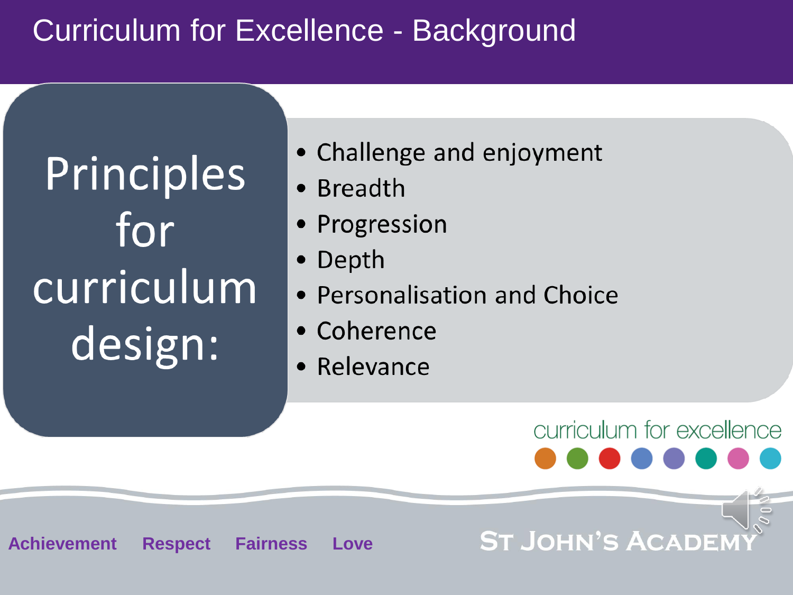## Curriculum for Excellence - Background

Principles for curriculum design:

**Achievement Respect Fairness Love**

- Challenge and enjoyment
- Breadth
- Progression
- Depth
- Personalisation and Choice
- Coherence
- Relevance

curriculum for excellence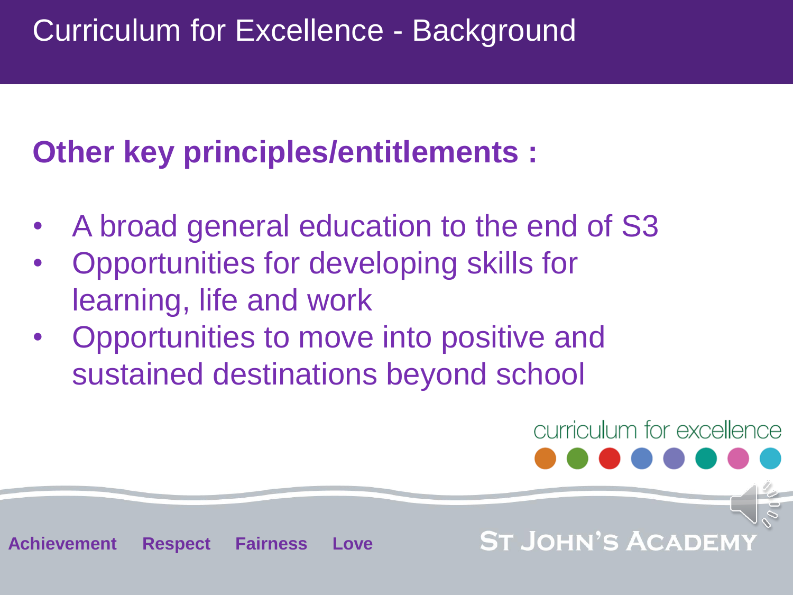# **Other key principles/entitlements :**

- A broad general education to the end of S3
- Opportunities for developing skills for learning, life and work
- Opportunities to move into positive and sustained destinations beyond school

**Achievement Respect Fairness Love**

curriculum for excellence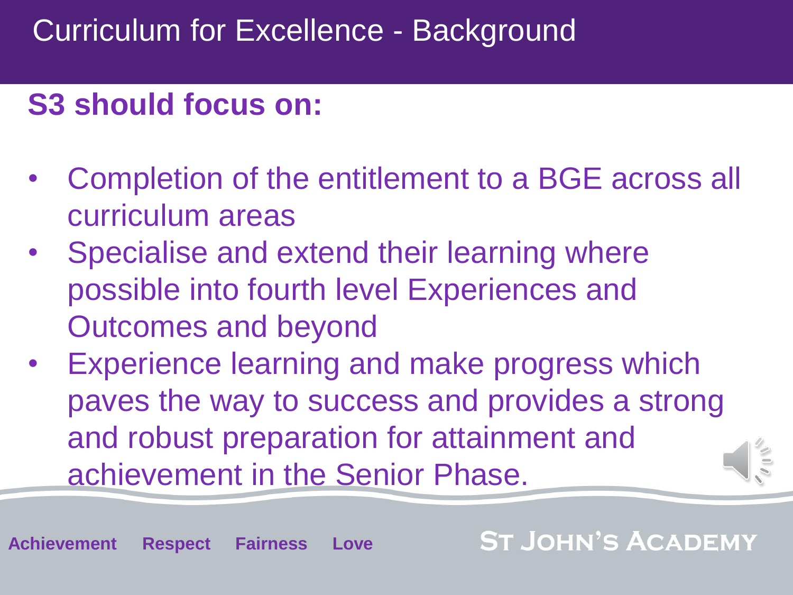## **S3 should focus on:**

- Completion of the entitlement to a BGE across all curriculum areas
- Specialise and extend their learning where possible into fourth level Experiences and Outcomes and beyond
- Experience learning and make progress which paves the way to success and provides a strong and robust preparation for attainment and achievement in the Senior Phase.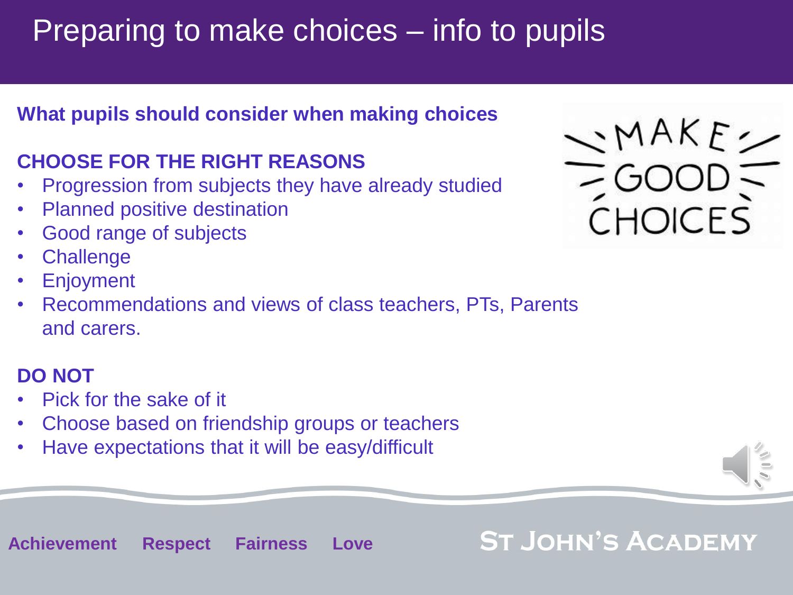# Preparing to make choices – info to pupils

#### **What pupils should consider when making choices**

### **CHOOSE FOR THE RIGHT REASONS**

- Progression from subjects they have already studied
- Planned positive destination
- Good range of subjects
- **Challenge**
- **Enjoyment**
- Recommendations and views of class teachers, PTs, Parents and carers.

#### **DO NOT**

- Pick for the sake of it
- Choose based on friendship groups or teachers
- Have expectations that it will be easy/difficult

 $\rightarrow$ MAKE  $\rightarrow$ **CHOICES** 

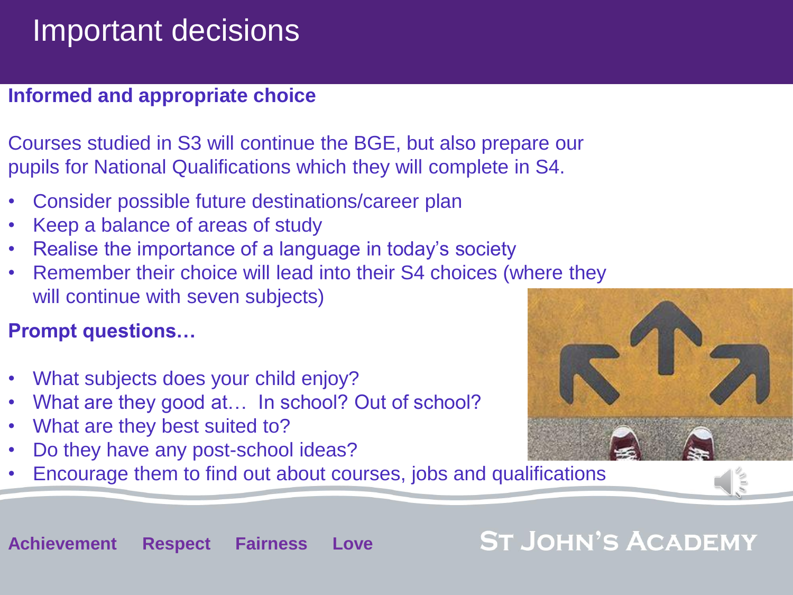## Important decisions

#### **Informed and appropriate choice**

Courses studied in S3 will continue the BGE, but also prepare our pupils for National Qualifications which they will complete in S4.

- Consider possible future destinations/career plan
- Keep a balance of areas of study
- Realise the importance of a language in today's society
- Remember their choice will lead into their S4 choices (where they will continue with seven subjects)

### **Prompt questions…**

- What subjects does your child enjoy?
- What are they good at… In school? Out of school?
- What are they best suited to?
- Do they have any post-school ideas?
- Encourage them to find out about courses, jobs and qualifications

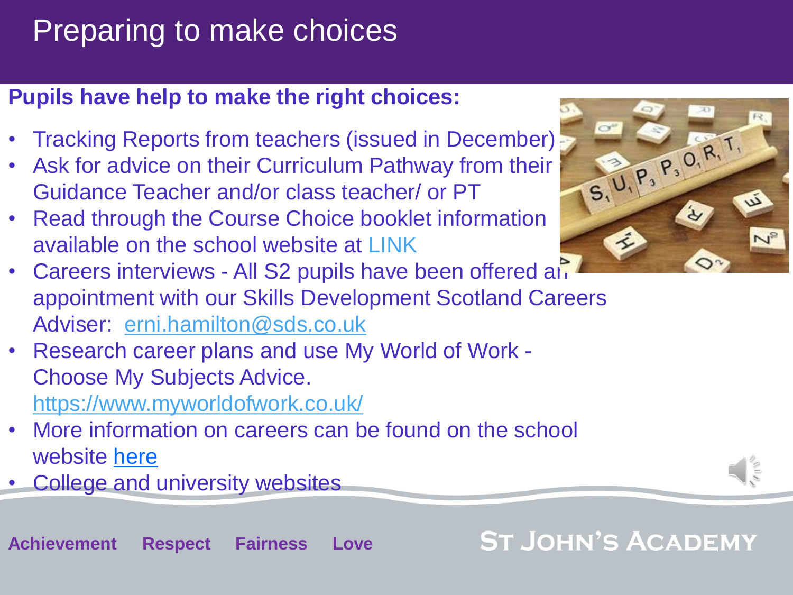# Preparing to make choices

### **Pupils have help to make the right choices:**

- Tracking Reports from teachers (issued in December)
- Ask for advice on their Curriculum Pathway from their Guidance Teacher and/or class teacher/ or PT
- Read through the Course Choice booklet information available on the school website at LINK



- Careers interviews All S2 pupils have been offered and appointment with our Skills Development Scotland Careers Adviser: [erni.hamilton@sds.co.uk](mailto:erni.hamilton@sds.co.uk)
- Research career plans and use My World of Work Choose My Subjects Advice. <https://www.myworldofwork.co.uk/>
- More information on careers can be found on the school website [here](https://www.st-johnsacademy.org.uk/wp-content/uploads/2022/01/202223-S2-to-S3-CAREERS-SDS-parent-presentation.pdf)
- College and university websites

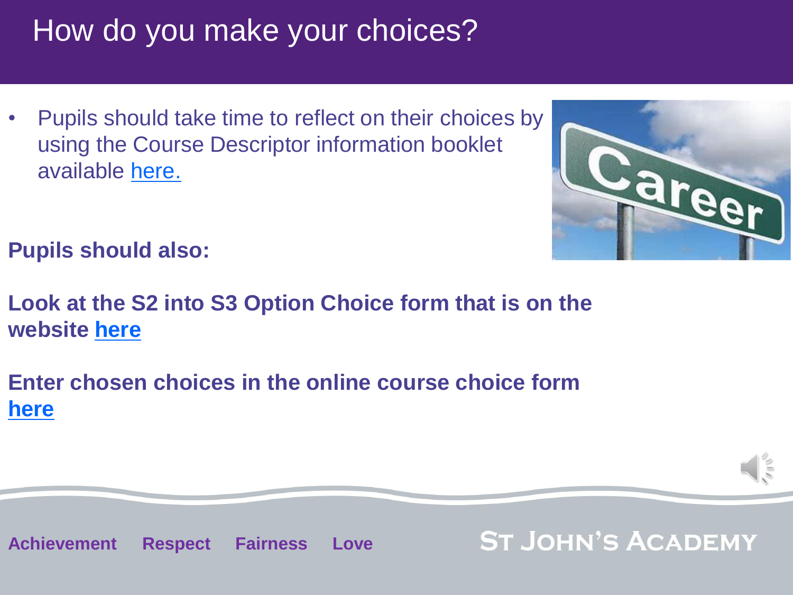## How do you make your choices?

• Pupils should take time to reflect on their choices by using the Course Descriptor information booklet available [here.](https://www.st-johnsacademy.org.uk/wp-content/uploads/2022/01/Combine.pdf)



**Pupils should also:**

**Look at the S2 into S3 Option Choice form that is on the website [here](https://www.st-johnsacademy.org.uk/wp-content/uploads/2022/01/S2-3-Course-Choice-2022.23-form.pdf)**

**Enter chosen choices in the online course choice form [here](https://docs.google.com/forms/d/e/1FAIpQLScCTCLah-jWnSsLgGmGe7D9FSBs3d1EYjrjiFm09Vp44Z0rWA/viewform)**



**Achievement Respect Fairness Love**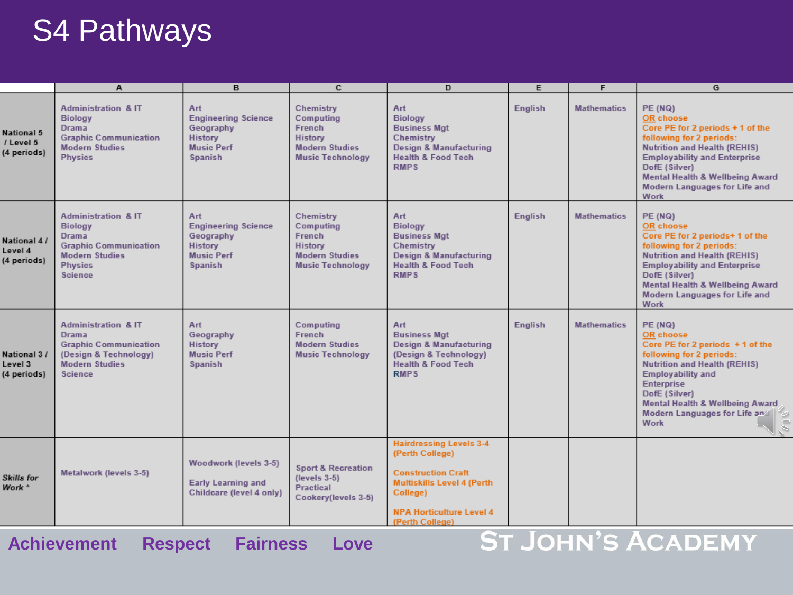## S4 Pathways

|                                        | A                                                                                                                                                             | в                                                                                                              | c                                                                                                      | D                                                                                                                                                                                     | E              | F                  | G                                                                                                                                                                                                                                                                                        |
|----------------------------------------|---------------------------------------------------------------------------------------------------------------------------------------------------------------|----------------------------------------------------------------------------------------------------------------|--------------------------------------------------------------------------------------------------------|---------------------------------------------------------------------------------------------------------------------------------------------------------------------------------------|----------------|--------------------|------------------------------------------------------------------------------------------------------------------------------------------------------------------------------------------------------------------------------------------------------------------------------------------|
| National 5<br>/ Level 5<br>(4 periods) | <b>Administration &amp; IT</b><br><b>Biology</b><br><b>Drama</b><br><b>Graphic Communication</b><br><b>Modern Studies</b><br><b>Physics</b>                   | <b>Art</b><br><b>Engineering Science</b><br>Geography<br><b>History</b><br><b>Music Perf</b><br><b>Spanish</b> | Chemistry<br>Computing<br>French<br><b>History</b><br><b>Modern Studies</b><br><b>Music Technology</b> | Art<br><b>Biology</b><br><b>Business Mgt</b><br>Chemistry<br><b>Design &amp; Manufacturing</b><br><b>Health &amp; Food Tech</b><br><b>RMPS</b>                                        | <b>English</b> | <b>Mathematics</b> | <b>PE (NQ)</b><br><b>OR</b> choose<br>Core PE for 2 periods + 1 of the<br>following for 2 periods:<br><b>Nutrition and Health (REHIS)</b><br><b>Employability and Enterprise</b><br>DofE (Silver)<br><b>Mental Health &amp; Wellbeing Award</b><br>Modern Languages for Life and<br>Work |
| National 4/<br>Level 4<br>(4 periods)  | <b>Administration &amp; IT</b><br><b>Biology</b><br><b>Drama</b><br><b>Graphic Communication</b><br><b>Modern Studies</b><br><b>Physics</b><br><b>Science</b> | Art<br><b>Engineering Science</b><br>Geography<br><b>History</b><br><b>Music Perf</b><br><b>Spanish</b>        | Chemistry<br>Computing<br>French<br><b>History</b><br><b>Modern Studies</b><br><b>Music Technology</b> | Art<br><b>Biology</b><br><b>Business Mgt</b><br>Chemistry<br>Design & Manufacturing<br><b>Health &amp; Food Tech</b><br><b>RMPS</b>                                                   | <b>English</b> | <b>Mathematics</b> | <b>PE (NQ)</b><br><b>OR</b> choose<br>Core PE for 2 periods+ 1 of the<br>following for 2 periods:<br><b>Nutrition and Health (REHIS)</b><br><b>Employability and Enterprise</b><br>DofE (Silver)<br><b>Mental Health &amp; Wellbeing Award</b><br>Modern Languages for Life and<br>Work  |
| National 3 /<br>Level 3<br>(4 periods) | <b>Administration &amp; IT</b><br><b>Drama</b><br><b>Graphic Communication</b><br>(Design & Technology)<br><b>Modern Studies</b><br><b>Science</b>            | Art.<br>Geography<br><b>History</b><br><b>Music Perf</b><br><b>Spanish</b>                                     | Computing<br>French<br><b>Modern Studies</b><br><b>Music Technology</b>                                | Art<br><b>Business Mgt</b><br><b>Design &amp; Manufacturing</b><br>(Design & Technology)<br><b>Health &amp; Food Tech</b><br><b>RMPS</b>                                              | <b>English</b> | <b>Mathematics</b> | PE (NQ)<br>OR choose<br>Core PE for 2 periods +1 of the<br>following for 2 periods:<br><b>Nutrition and Health (REHIS)</b><br><b>Employability and</b><br><b>Enterprise</b><br>DofE (Silver)<br>Mental Health & Wellbeing Award<br>Modern Languages for Life and<br><b>Work</b>          |
| Skills for<br>Work *                   | Metalwork (levels 3-5)                                                                                                                                        | Woodwork (levels 3-5)<br><b>Early Learning and</b><br>Childcare (level 4 only)                                 | <b>Sport &amp; Recreation</b><br>$(levels 3-5)$<br><b>Practical</b><br>Cookery(levels 3-5)             | <b>Hairdressing Levels 3-4</b><br>(Perth College)<br><b>Construction Craft</b><br><b>Multiskills Level 4 (Perth</b><br>College)<br><b>NPA Horticulture Level 4</b><br>(Perth College) |                |                    |                                                                                                                                                                                                                                                                                          |

**Achievement Respect Fairness Love**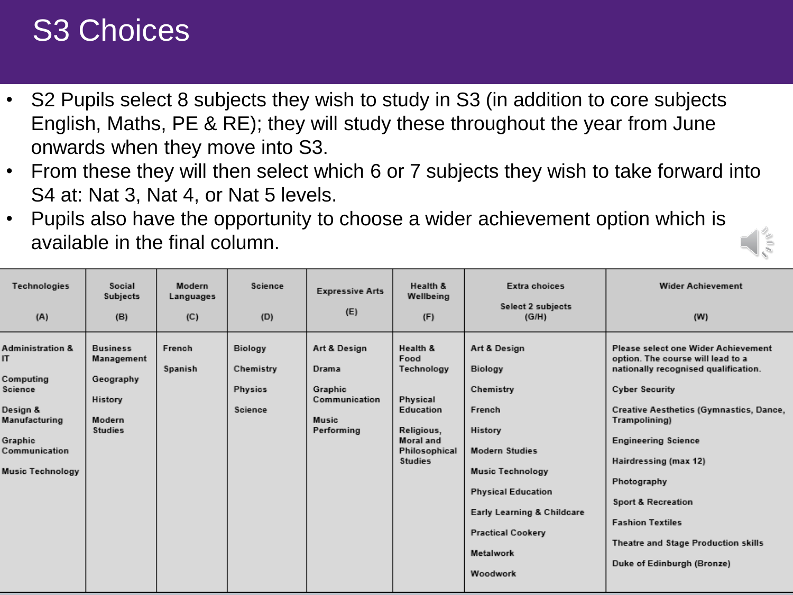## S3 Choices

- S2 Pupils select 8 subjects they wish to study in S3 (in addition to core subjects English, Maths, PE & RE); they will study these throughout the year from June onwards when they move into S3.
- From these they will then select which 6 or 7 subjects they wish to take forward into S4 at: Nat 3, Nat 4, or Nat 5 levels.
- Pupils also have the opportunity to choose a wider achievement option which is available in the final column.

| Technologies<br>(A)                                                                                                                            | Social<br>Subjects<br>(B)                                                         | Modern<br>Languages<br>(C) | Science<br>(D)                                    | <b>Expressive Arts</b><br>(E)                                            | Health &<br>Wellbeing<br>(F)                                                                                                 | Extra choices<br><b>Select 2 subjects</b><br>(G/H)                                                                                                                                                                                   | <b>Wider Achievement</b><br>(W)                                                                                                                                                                                                                                                                                                                                                                              |
|------------------------------------------------------------------------------------------------------------------------------------------------|-----------------------------------------------------------------------------------|----------------------------|---------------------------------------------------|--------------------------------------------------------------------------|------------------------------------------------------------------------------------------------------------------------------|--------------------------------------------------------------------------------------------------------------------------------------------------------------------------------------------------------------------------------------|--------------------------------------------------------------------------------------------------------------------------------------------------------------------------------------------------------------------------------------------------------------------------------------------------------------------------------------------------------------------------------------------------------------|
| <b>Administration &amp;</b><br>IT.<br>Computing<br>Science<br>Design &<br>Manufacturing<br>Graphic<br>Communication<br><b>Music Technology</b> | <b>Business</b><br>Management<br>Geography<br>History<br>Modern<br><b>Studies</b> | French<br>Spanish          | Biology<br>Chemistry<br><b>Physics</b><br>Science | Art & Design<br>Drama<br>Graphic<br>Communication<br>Music<br>Performing | Health &<br>Food<br>Technology<br>Physical<br>Education<br>Religious,<br><b>Moral</b> and<br>Philosophical<br><b>Studies</b> | Art & Design<br><b>Biology</b><br>Chemistry<br>French<br>History<br><b>Modern Studies</b><br><b>Music Technology</b><br><b>Physical Education</b><br>Early Learning & Childcare<br><b>Practical Cookery</b><br>Metalwork<br>Woodwork | Please select one Wider Achievement<br>option. The course will lead to a<br>nationally recognised qualification.<br><b>Cyber Security</b><br>Creative Aesthetics (Gymnastics, Dance,<br>Trampolining)<br><b>Engineering Science</b><br>Hairdressing (max 12)<br>Photography<br><b>Sport &amp; Recreation</b><br><b>Fashion Textiles</b><br>Theatre and Stage Production skills<br>Duke of Edinburgh (Bronze) |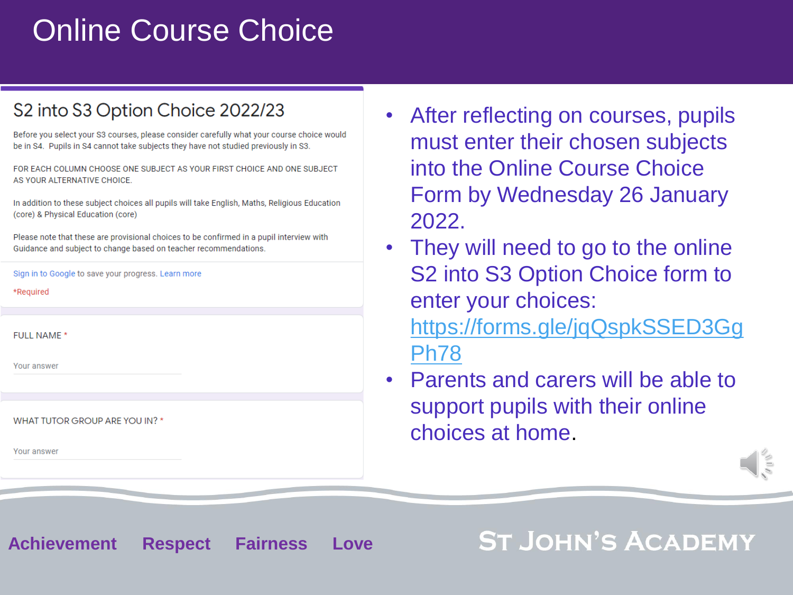## Online Course Choice

#### S2 into S3 Option Choice 2022/23

Before you select your S3 courses, please consider carefully what your course choice would be in S4. Pupils in S4 cannot take subjects they have not studied previously in S3.

FOR FACH COLUMN CHOOSE ONE SUBJECT AS YOUR FIRST CHOICE AND ONE SUBJECT AS YOUR ALTERNATIVE CHOICE.

In addition to these subject choices all pupils will take English, Maths, Religious Education (core) & Physical Education (core)

Please note that these are provisional choices to be confirmed in a pupil interview with Guidance and subject to change based on teacher recommendations.

Sign in to Google to save your progress. Learn more

\*Required

**FULL NAME\*** 

Your answer

WHAT TUTOR GROUP ARE YOU IN? \*

Your answer

- After reflecting on courses, pupils must enter their chosen subjects into the Online Course Choice Form by Wednesday 26 January 2022.
- They will need to go to the online S2 into S3 Option Choice form to enter your choices: [https://forms.gle/jqQspkSSED3Gg](https://forms.gle/jqQspkSSED3GgPh78) Ph78
- Parents and carers will be able to support pupils with their online choices at home.



**Achievement Respect Fairness Love**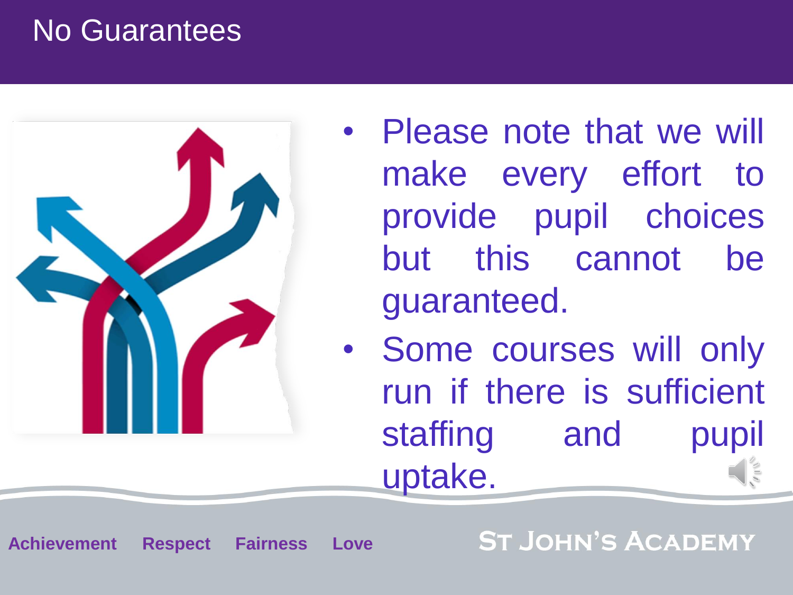## No Guarantees



**Achievement Respect Fairness Love**

- Please note that we will make every effort to provide pupil choices but this cannot be guaranteed.
- Some courses will only run if there is sufficient staffing and pupil uptake.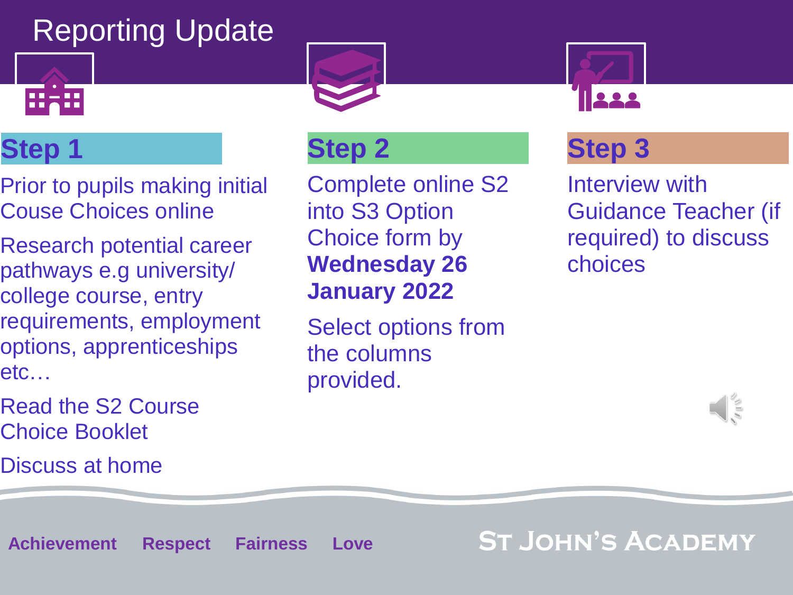# Reporting Update



## **Step 1**

- Prior to pupils making initial Couse Choices online
- Research potential career pathways e.g university/ college course, entry requirements, employment options, apprenticeships etc…
- Read the S2 Course Choice Booklet
- Discuss at home





### **Step 2**

Complete online S2 into S3 Option Choice form by **Wednesday 26 January 2022**

Select options from the columns provided.

### **Step 3**

Interview with Guidance Teacher (if required) to discuss choices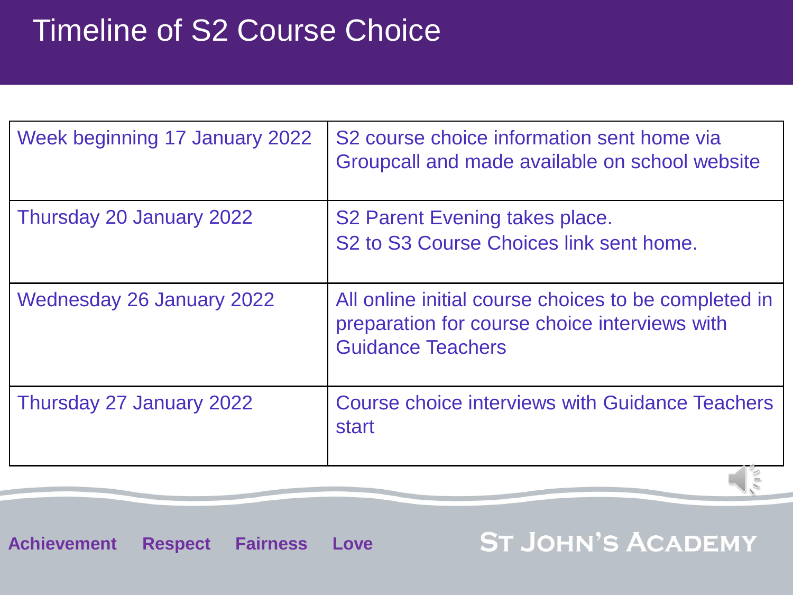# Timeline of S2 Course Choice

| Week beginning 17 January 2022 | S2 course choice information sent home via<br>Groupcall and made available on school website                                      |
|--------------------------------|-----------------------------------------------------------------------------------------------------------------------------------|
| Thursday 20 January 2022       | S <sub>2</sub> Parent Evening takes place.<br>S <sub>2</sub> to S <sub>3</sub> Course Choices link sent home.                     |
| Wednesday 26 January 2022      | All online initial course choices to be completed in<br>preparation for course choice interviews with<br><b>Guidance Teachers</b> |
| Thursday 27 January 2022       | Course choice interviews with Guidance Teachers<br><b>start</b>                                                                   |

**Achievement Respect Fairness Love**

**ST JOHN'S ACADEMY** 

 $\sqrt{5}$